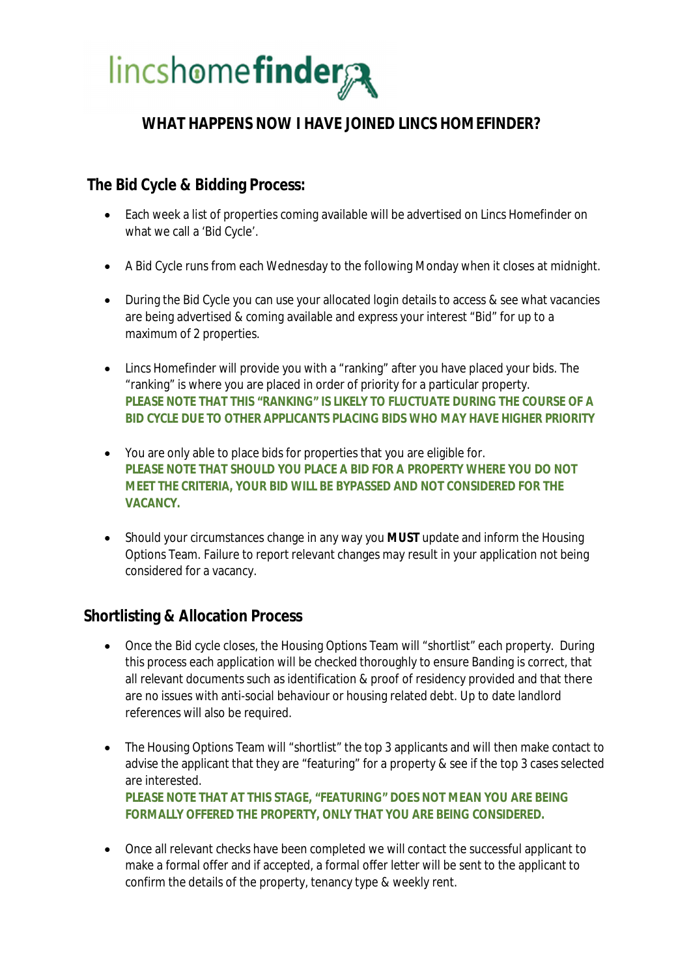

### **WHAT HAPPENS NOW I HAVE JOINED LINCS HOMEFINDER?**

 **The Bid Cycle & Bidding Process:**

- · Each week a list of properties coming available will be advertised on Lincs Homefinder on what we call a 'Bid Cycle'.
- · A Bid Cycle runs from each Wednesday to the following Monday when it closes at midnight.
- · During the Bid Cycle you can use your allocated login details to access & see what vacancies are being advertised & coming available and express your interest "Bid" for up to a maximum of 2 properties.
- Lincs Homefinder will provide you with a "ranking" after you have placed your bids. The "ranking" is where you are placed in order of priority for a particular property. **PLEASE NOTE THAT THIS "RANKING" IS LIKELY TO FLUCTUATE DURING THE COURSE OF A BID CYCLE DUE TO OTHER APPLICANTS PLACING BIDS WHO MAY HAVE HIGHER PRIORITY**
- · You are only able to place bids for properties that you are eligible for. **PLEASE NOTE THAT SHOULD YOU PLACE A BID FOR A PROPERTY WHERE YOU DO NOT MEET THE CRITERIA, YOUR BID WILL BE BYPASSED AND NOT CONSIDERED FOR THE VACANCY.**
- · Should your circumstances change in any way you **MUST** update and inform the Housing Options Team. Failure to report relevant changes may result in your application not being considered for a vacancy.

#### **Shortlisting & Allocation Process**

- · Once the Bid cycle closes, the Housing Options Team will "shortlist" each property. During this process each application will be checked thoroughly to ensure Banding is correct, that all relevant documents such as identification & proof of residency provided and that there are no issues with anti-social behaviour or housing related debt. Up to date landlord references will also be required.
- · The Housing Options Team will "shortlist" the top 3 applicants and will then make contact to advise the applicant that they are "featuring" for a property & see if the top 3 cases selected are interested. **PLEASE NOTE THAT AT THIS STAGE, "FEATURING" DOES NOT MEAN YOU ARE BEING FORMALLY OFFERED THE PROPERTY, ONLY THAT YOU ARE BEING CONSIDERED.**
- · Once all relevant checks have been completed we will contact the successful applicant to make a formal offer and if accepted, a formal offer letter will be sent to the applicant to confirm the details of the property, tenancy type & weekly rent.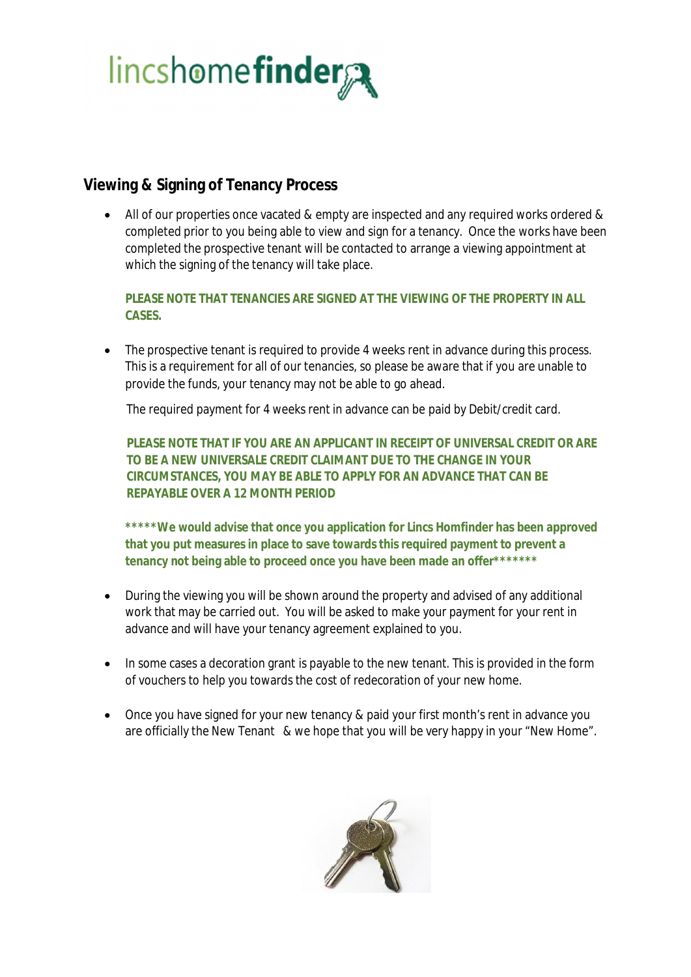

#### **Viewing & Signing of Tenancy Process**

· All of our properties once vacated & empty are inspected and any required works ordered & completed prior to you being able to view and sign for a tenancy. Once the works have been completed the prospective tenant will be contacted to arrange a viewing appointment at which the signing of the tenancy will take place.

**PLEASE NOTE THAT TENANCIES ARE SIGNED AT THE VIEWING OF THE PROPERTY IN ALL CASES.**

• The prospective tenant is required to provide 4 weeks rent in advance during this process. This is a requirement for all of our tenancies, so please be aware that if you are unable to provide the funds, your tenancy may not be able to go ahead.

The required payment for 4 weeks rent in advance can be paid by Debit/credit card.

**PLEASE NOTE THAT IF YOU ARE AN APPLICANT IN RECEIPT OF UNIVERSAL CREDIT OR ARE TO BE A NEW UNIVERSALE CREDIT CLAIMANT DUE TO THE CHANGE IN YOUR CIRCUMSTANCES, YOU MAY BE ABLE TO APPLY FOR AN ADVANCE THAT CAN BE REPAYABLE OVER A 12 MONTH PERIOD**

**\*\*\*\*\*We would advise that once you application for Lincs Homfinder has been approved that you put measures in place to save towards this required payment to prevent a tenancy not being able to proceed once you have been made an offer\*\*\*\*\*\*\***

- · During the viewing you will be shown around the property and advised of any additional work that may be carried out. You will be asked to make your payment for your rent in advance and will have your tenancy agreement explained to you.
- In some cases a decoration grant is payable to the new tenant. This is provided in the form of vouchers to help you towards the cost of redecoration of your new home.
- Once you have signed for your new tenancy & paid your first month's rent in advance you are officially the New Tenant & we hope that you will be very happy in your "New Home".

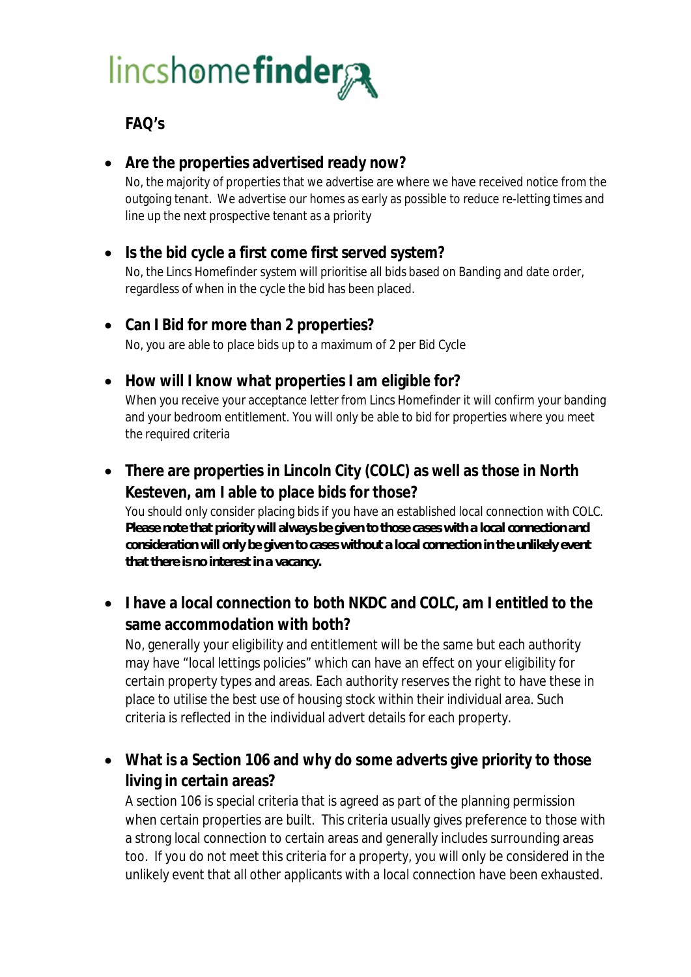# lincshomefinder

### **FAQ's**

- · **Are the properties advertised ready now?** No, the majority of properties that we advertise are where we have received notice from the outgoing tenant. We advertise our homes as early as possible to reduce re-letting times and line up the next prospective tenant as a priority
- · **Is the bid cycle a first come first served system?** No, the Lincs Homefinder system will prioritise all bids based on Banding and date order, regardless of when in the cycle the bid has been placed.
- · **Can I Bid for more than 2 properties?** No, you are able to place bids up to a maximum of 2 per Bid Cycle
- · **How will I know what properties I am eligible for?** When you receive your acceptance letter from Lincs Homefinder it will confirm your banding and your bedroom entitlement. You will only be able to bid for properties where you meet the required criteria
- · **There are properties in Lincoln City (COLC) as well as those in North Kesteven, am I able to place bids for those?** You should only consider placing bids if you have an established local connection with COLC. *Please note that priority will always be given to those cases with a local connection and consideration will only be given to cases without a local connection in the unlikely event that there is no interest in a vacancy.*
- · **I have a local connection to both NKDC and COLC, am I entitled to the same accommodation with both?**

No, generally your eligibility and entitlement will be the same but each authority may have "local lettings policies" which can have an effect on your eligibility for certain property types and areas. Each authority reserves the right to have these in place to utilise the best use of housing stock within their individual area. Such criteria is reflected in the individual advert details for each property.

· **What is a Section 106 and why do some adverts give priority to those living in certain areas?**

A section 106 is special criteria that is agreed as part of the planning permission when certain properties are built. This criteria usually gives preference to those with a strong local connection to certain areas and generally includes surrounding areas too. If you do not meet this criteria for a property, you will only be considered in the unlikely event that all other applicants with a local connection have been exhausted.